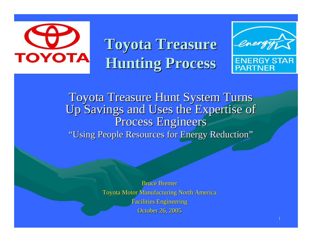

**Toyota Treasure Toyota Treasure Hunting Process Hunting Process**



Toyota Treasure Hunt System Turns Up Savings and Uses the Expertise of Process Engineers "Using People Resources for Energy Reduction"

> **Bruce Bremer** Toyota Motor Manufacturing North America Facilities Engineering Facilities Engineering **October 26, 2005**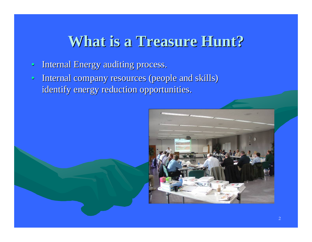#### **What is a Treasure Hunt? What is a Treasure Hunt?**

- $\bullet$ Internal Energy auditing process.
- $\bullet$  Internal company resources (people and skills) Internal company resources (people and skills) identify energy reduction opportunities.

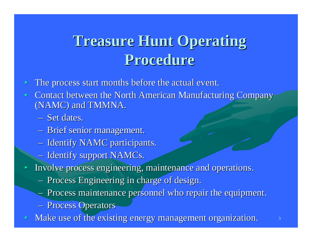### **Treasure Hunt Operating Procedure Procedure**

- $\bullet$ The process start months before the actual event.
- $\bullet$ Contact between the North American Manufacturing Company (NAMC) and TMMNA.
	- Set dates.
	- Brief senior management.
	- Identify NAMC participants.
	- Identify support NAMCs.
- •Involve process engineering, maintenance and operations.
	- **Process Engineering in charge of design.**
	- Process maintenance personnel who repair the equipment.
	- **Process Operators**
- $\bullet$ Make use of the existing energy management organization.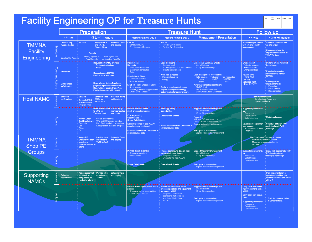| <b>Facility Engineering OP for Treasure Hunts</b><br>GM/<br>AGM<br>VP<br>MGR<br>Orig.<br>Coord |                |                                                             |                                                                                                                                                                                                                                                                                                                                     |                                                                                                                                                                                                                                                                                                                     |                                                                                                                                                                                                                                               |                                                                                                                                                                                                                                                                                                                                                                             |                                                                                                                                                                                    |                                                                                                                                                                                                             |  |  |  |
|------------------------------------------------------------------------------------------------|----------------|-------------------------------------------------------------|-------------------------------------------------------------------------------------------------------------------------------------------------------------------------------------------------------------------------------------------------------------------------------------------------------------------------------------|---------------------------------------------------------------------------------------------------------------------------------------------------------------------------------------------------------------------------------------------------------------------------------------------------------------------|-----------------------------------------------------------------------------------------------------------------------------------------------------------------------------------------------------------------------------------------------|-----------------------------------------------------------------------------------------------------------------------------------------------------------------------------------------------------------------------------------------------------------------------------------------------------------------------------------------------------------------------------|------------------------------------------------------------------------------------------------------------------------------------------------------------------------------------|-------------------------------------------------------------------------------------------------------------------------------------------------------------------------------------------------------------|--|--|--|
|                                                                                                |                |                                                             | <b>Preparation</b>                                                                                                                                                                                                                                                                                                                  |                                                                                                                                                                                                                                                                                                                     | <b>Follow up</b>                                                                                                                                                                                                                              |                                                                                                                                                                                                                                                                                                                                                                             |                                                                                                                                                                                    |                                                                                                                                                                                                             |  |  |  |
|                                                                                                |                | - 4 mo                                                      | $-3$ to $-1$ months                                                                                                                                                                                                                                                                                                                 | <b>Treasure Hunting: Day 1</b>                                                                                                                                                                                                                                                                                      | <b>Treasure Hunt</b><br><b>Treasure Hunting: Day 2</b>                                                                                                                                                                                        | <b>Management Presentation</b>                                                                                                                                                                                                                                                                                                                                              | $+4$ wks                                                                                                                                                                           | $+3$ to $+6$ months                                                                                                                                                                                         |  |  |  |
| <b>TMMNA</b><br>Facility<br>Engineering                                                        |                | Develop long<br>range schedule<br><b>Develop Std Agendt</b> | <b>Set Date</b><br><b>Notify NAMCs</b><br><b>Schedule Travel</b><br>and NA PE<br>and lodging<br><b>Shops of Date</b><br>Agenda<br>Modify Agenda to<br>Send Agenda to<br>NAMC needs<br>participating NAMCs                                                                                                                           | Kick off<br><b>Schedule review</b><br>TH History and Purpose                                                                                                                                                                                                                                                        | Kick off<br>Review Day 1 results<br>Review Day 2 schedule                                                                                                                                                                                     |                                                                                                                                                                                                                                                                                                                                                                             | <b>Schedule report review</b><br>with NA and NAMC<br>management                                                                                                                    | Schedule database and<br>on site review<br>Review database for<br>implementation status of<br><b>THYYYY</b> items                                                                                           |  |  |  |
|                                                                                                |                | Procedure<br><b>Detail Sheet</b><br>w/Calculator            | Request host NAMC provide:<br><b>Equipment schedules</b><br>Prints<br><b>Request support NAMC</b><br>Provide list of attendees<br><b>Review latest Kaizen Database</b><br>progress reports with host NAMC.<br>Review latest Quarterly and Non-<br>Production reports with NAMC.                                                     | Introductions:<br>Handouts:<br>Data collection sheets<br><b>Equipment schedules</b><br><b>Prints</b><br><b>Explain Detail Sheet</b><br><b>Calculator features</b><br>Need for accuracy<br><b>Lead TH Teams (Assign leaders)</b><br>Keep on goal<br>ID energy reduction opportunities<br><b>Create Detail Sheets</b> | <b>Lead TH Teams</b><br>Keep on goal<br>ID energy reduction opportunities<br>Work with all teams:<br>Maintain focus on<br>energy<br>Assist in creating detail sheets.<br><b>Explain concepts and energy</b><br>determination to team members. | Consolidate Summary Sheets<br>List all kaizens<br>ID top 3 in each shop<br><sup>1</sup> Lead management presentation:<br>Non-Production<br>Total savings Production<br><b>MMBTU</b><br><b>MMBTU</b><br>Energy<br>Dollars<br>\$\$\$<br>\$\$\$<br>Awards/Certificate presentation:<br>MMRTLI/LInit<br><b>T/H Attendee Certificate</b><br><b>Best Group/Kaizen Certificate</b> | <b>Create Report</b><br><b>Potential savings</b><br><b>ID Focus items</b><br>EAP percentage<br>Review with:<br><b>NAMC Mgtt</b><br>NA Mat<br>Database Input<br>ID as THYYYY        | Perform on site review of<br>focus items.<br>Pass implementation<br>i information to support<br><b>NAMCs</b><br>Add suggested<br>I improvements to:<br>Procedure<br><b>Detail Sheets</b><br>Data collection |  |  |  |
| <b>Host NAMC</b>                                                                               | Sch<br>능       | Schedule<br>confirmation                                    | <b>Schedule Shop</b><br><b>Schedule dining</b><br>Set Date<br><b>EMOs for</b><br>out locations<br>Schedule MCC<br>participation<br><b>Presentation on</b><br><b>Treasure Hunt</b>                                                                                                                                                   |                                                                                                                                                                                                                                                                                                                     |                                                                                                                                                                                                                                               |                                                                                                                                                                                                                                                                                                                                                                             | <b>Plan Implementation</b><br>operational items                                                                                                                                    | Emphasis on Focus and                                                                                                                                                                                       |  |  |  |
|                                                                                                | <b>Actions</b> |                                                             | Make Presentation Collect equip-<br>to MCC on<br>ment schedules<br><b>Treasure Hunt</b><br>and prints.<br>Provide Utility<br>Create presentation:<br><b>Cost Breakdown:</b><br>W/E and B/S energy reports.<br>I Electricity<br>List of kaizens being worked on.<br>Energy action plan and progress.<br>Gas<br>Water<br>$E_{\rm fc}$ | Provide direction and in<br>depth process knowledge<br>ID energy saving<br><b>Opportunities</b><br><b>Create Detail Sheets</b><br><b>Explain specifics of host NAMC</b><br>operations and equipment.<br>Liaise with host NAMC personnel to<br>obtain required data                                                  | <b>ID</b> energy saving<br><b>Opportunities</b><br><b>Create Detail Sheets</b><br>Liaise with host NAMC personnel to<br>obtain required data                                                                                                  | <b>Support Summary Development</b><br>List all kaizens<br>ID top 3 in each shop<br>Present:<br>W/E and B/S energy reports.<br>List of kaizens being worked on.<br>Energy action plan and progress.<br>Participate in presentation:<br>Explain kaizens to management                                                                                                         | <b>Suggest improvements</b><br>Procedure<br><b>Detail Sheets</b><br>Data collection<br>Develop action plan for<br>new kaizens:<br>Implementation dates<br>Progress                 | Update database.<br>Schedule TMMNA FAC<br>participation at EMO<br>meetings                                                                                                                                  |  |  |  |
| <b>TMMNA</b><br><b>Shop PE</b>                                                                 | Schedule       |                                                             | <b>Assign PE</b><br><b>Schedule Travel</b><br>Provide list of<br><b>Engineer for each</b><br>attendees to<br>and lodging<br><b>TMMNA FAC</b><br>shop being<br><b>Treasure Hunted to</b><br>attend                                                                                                                                   |                                                                                                                                                                                                                                                                                                                     |                                                                                                                                                                                                                                               |                                                                                                                                                                                                                                                                                                                                                                             | Reduce implementation cost<br>Maximize energy reduction in<br>process                                                                                                              | Plan Yokoten of TH ideas to design.                                                                                                                                                                         |  |  |  |
| <b>Groups</b>                                                                                  | Actions        |                                                             |                                                                                                                                                                                                                                                                                                                                     | Provide design expertise<br>ID energy reduction<br>opportunities<br><b>Create Detail Sheets</b>                                                                                                                                                                                                                     | Provide background data on host<br>NAMC equipment design.<br><b>ID</b> specific features<br>unique to the host NAMC,<br><b>Create Detail Sheets</b>                                                                                           | <b>Support Summary Development</b><br>List all kaizens<br>ID top 3 in each shop<br>Participate in presentation:<br>Explain kaizens to management                                                                                                                                                                                                                            | Suggest improvements<br>for:<br>Procedure<br><b>Detail Sheets</b><br>Data collection                                                                                               | Liaise with appropriate TMC<br>PE shop to yokoten<br>concepts into design                                                                                                                                   |  |  |  |
| Supporting<br><b>NAMCs</b>                                                                     | Schedule       | Schedule<br>confirmation                                    | Assign personnel<br>Provide list of<br>Schedule travel<br>I from each shop<br>attendees to<br>and lodging<br>being Treasure<br><b>TMMNA</b><br><b>Hunted to attend</b>                                                                                                                                                              |                                                                                                                                                                                                                                                                                                                     |                                                                                                                                                                                                                                               |                                                                                                                                                                                                                                                                                                                                                                             |                                                                                                                                                                                    | Plan implementation of<br>operational and low cost<br>kaizens observed and ID'ed<br>at the TH                                                                                                               |  |  |  |
|                                                                                                | <b>Actions</b> |                                                             |                                                                                                                                                                                                                                                                                                                                     | وساوسا وساوسا وساوي<br>Provide different perspective on the<br><b>process</b><br>ID energy saving opportunities<br><b>Create Detail Sheets</b>                                                                                                                                                                      | Provide information on same<br>process operations and equipment<br>for support NAMC<br>ID specific features or<br>operations that could be<br>yokoten'ed to the host<br>NAMC.                                                                 | <b>Support Summary Development</b><br>List all kaizens<br>ID top 3 in each shop<br><sup>1</sup> Participate in presentation:<br>Explain kaizen to management                                                                                                                                                                                                                | Carry back operational<br>improvements to home<br>NAMC.<br>Carry back new kaizen<br>ideas.<br><b>Suggest improvements:</b><br>Procedure<br><b>Detail Sheets</b><br>Data collection | <b>Push for implementation</b><br>of yokoten ideas.                                                                                                                                                         |  |  |  |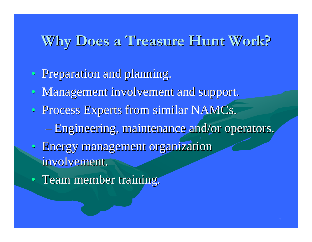#### **Why Does a Treasure Hunt Work? Why Does a Treasure Hunt Work?**

- Preparation and planning.
- Management involvement and support.
- Process Experts from similar NAMCs.
	- Engineering, maintenance and/or operators.
- Energy management organization involvement.
- Team member training.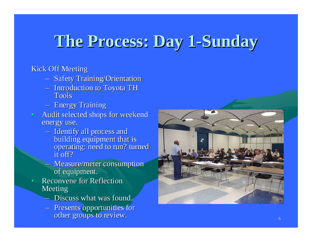### **The Process: Day 1 The Process: Day 1 -Sunday**

#### **Kick Off Meeting**

- **Safety Training/Orientation**
- $-$  Introduction to Toyota TH Tools
- **Energy Training**
- $\mathbf c$ Audit selected shops for weekend energy use.
	- Identify all process and building equipment that is operating: need to run? turned it off?
	- Measure/meter consumption of equipment.
- •Reconvene for Reflection Meeting
	- Discuss what was found.
	- **Presents opportunities for** other groups to review.

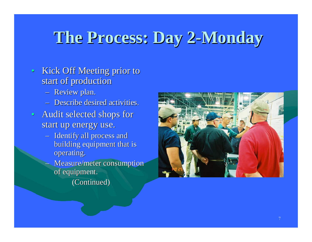### **The Process: Day 2 The Process: Day 2 -Monday**

- Kick Off Meeting prior to start of production
	- Review plan.
	- Describe desired activities.
- Audit selected shops for start up energy use.
	- Identify all process and building equipment that is operating.
	- Measure/meter consumption of equipment.
		- (Continued) (Continued)

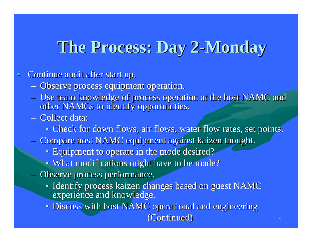### **The Process: Day 2 The Process: Day 2 -Monday**

#### $\bullet$ Continue audit after start up.

- **Observe process equipment operation.**
- Use team knowledge of process operation at the host NAMC and other NAMCs to identify opportunities.
- Collect data:
	- Check for down flows, air flows, water flow rates, set points.
- Compare host NAMC equipment against kaizen thought.
	- Equipment to operate in the mode desired?
	- What modifications might have to be made?
- Observe process performance.
	- Identify process kaizen changes based on guest NAMC experience and knowledge.
	- Discuss with host NAMC operational and engineering (Continued) (Continued)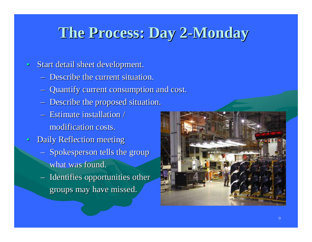#### **The Process: Day 2 The Process: Day 2 -Monday**

- $\bullet$ Start detail sheet development.
	- Describe the current situation.
	- Quantify current consumption and cost. Quantify current consumption and cost.
	- Describe the proposed situation.
	- Estimate installation / modification costs.
- $\bullet$ Daily Reflection meeting
	- Spokesperson tells the group what was found.
	- $-$  Identifies opportunities other groups may have missed.

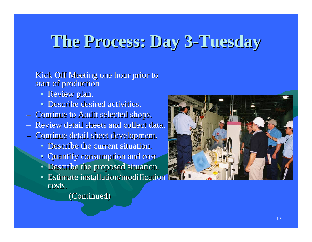### **The Process: Day 3 The Process: Day 3 -Tuesday Tuesday**

- Kick Off Meeting one hour prior to start of production
	- Review plan.
	- Describe desired activities.
- **Continue to Audit selected shops.**
- Review detail sheets and collect data.
- **Continue detail sheet development.** 
	- Describe the current situation.
	- Quantify consumption and cost
	- Describe the proposed situation.
	- Estimate installation/modification costs.
		- (Continued) (Continued)

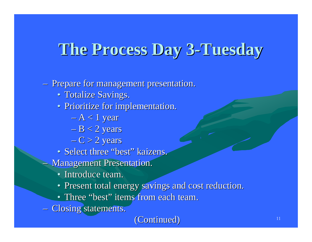## **The Process Day 3 The Process Day 3 -Tuesday Tuesday**

#### **- Prepare for management presentation.**

- Totalize Savings.
- Prioritize for implementation.
	- $-$  A  $< 1$  year
	- $\rm -B$   $<$  2 years
	- $-{\rm C}$   $>$  2 years
- Select three "best " kaizens.
- **Management Presentation.** 
	- Introduce team.
	- Present total energy savings and cost reduction.
	- Three "best " items from each team.
- **Closing statements.**

#### (Continued) (Continued)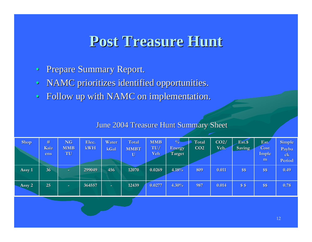#### **Post Treasure Hunt Post Treasure Hunt**

- $\bullet$ Prepare Summary Report.
- $\bullet$ NAMC prioritizes identified opportunities.
- $\bullet$ Follow up with NAMC on implementation.

#### June 2004 Treasure Hunt Summary Sheet

| <b>Shop</b> | #<br>Kaiz<br>ens | <b>NG</b><br><b>MMB</b><br>TU | Elec.<br>kWH | Water<br>kGal | Total<br><b>MMBT</b><br>$\mathbf U$ | <b>MMB</b><br>TU/<br>Veh | $\frac{0}{6}$<br>Energy<br>Target | Total<br>CO <sub>2</sub> | CO2/<br>Veh. | Est.\$<br>Saving | Est.<br>Cost<br>Imple<br>m | <b>Simple</b><br>Payba<br>c <sub>k</sub><br>Period |
|-------------|------------------|-------------------------------|--------------|---------------|-------------------------------------|--------------------------|-----------------------------------|--------------------------|--------------|------------------|----------------------------|----------------------------------------------------|
| Assy 1      | 36 <sub>1</sub>  | $\sim$                        | 299049       | 456           | 12070                               | 0.0269                   | 4.18%                             | 809                      | 0.011        | \$\$             | \$\$                       | 0.49                                               |
| Assy 2      | $25^{\circ}$     | $\sim$                        | 364557       | $\sim$        | 12439                               | 0.0277                   | 4.30%                             | 987                      | 0.014        | \$S              | \$\$                       | 0.78                                               |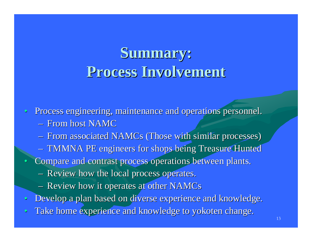### **Summary: Summary: Process Involvement Process Involvement**

 $\bullet$ Process engineering, maintenance and operations personnel.

- $-$  From host NAMC
- From associated NAMCs (Those with similar processes)
- TMMNA PE engineers for shops being Treasure Hunted
- •Compare and contrast process operations between plants.
	- **Review how the local process operates.**
	- Review how it operates at other NAMCs
- $\bullet$ Develop a plan based on diverse experience and knowledge.
- $\bullet$ Take home experience and knowledge to yokoten change.